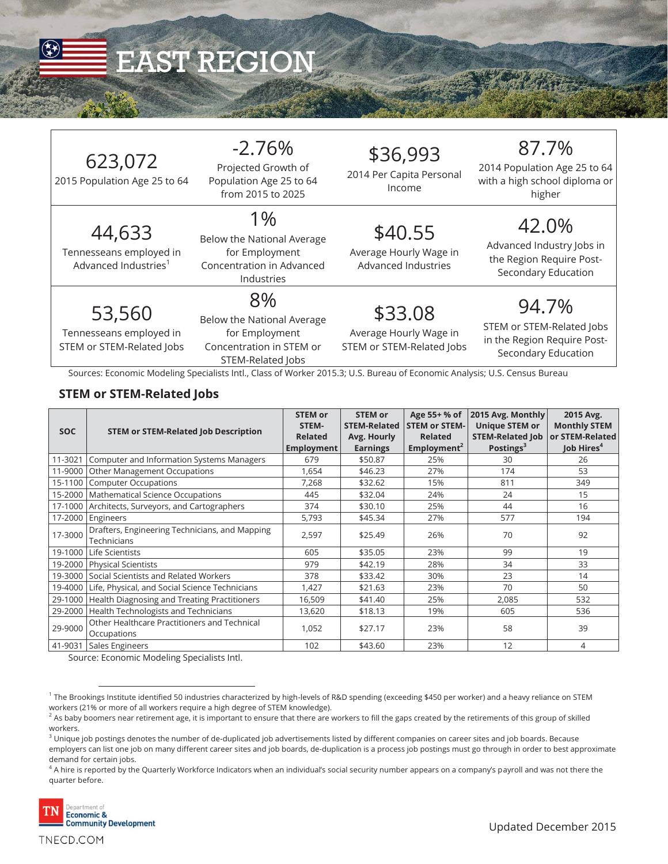

# EAST REGION

| 623,072<br>2015 Population Age 25 to 64                               | $-2.76%$<br>Projected Growth of<br>Population Age 25 to 64<br>from 2015 to 2025                     | \$36,993<br>2014 Per Capita Personal<br>Income                 | 87.7%<br>2014 Population Age 25 to 64<br>with a high school diploma or<br>higher         |
|-----------------------------------------------------------------------|-----------------------------------------------------------------------------------------------------|----------------------------------------------------------------|------------------------------------------------------------------------------------------|
| 44,633<br>Tennesseans employed in<br>Advanced Industries <sup>1</sup> | 1%<br>Below the National Average<br>for Employment<br>Concentration in Advanced<br>Industries       | \$40.55<br>Average Hourly Wage in<br>Advanced Industries       | 42.0%<br>Advanced Industry Jobs in<br>the Region Require Post-<br>Secondary Education    |
| 53,560<br>Tennesseans employed in<br>STEM or STEM-Related Jobs        | 8%<br>Below the National Average<br>for Employment<br>Concentration in STEM or<br>STEM-Related Jobs | \$33.08<br>Average Hourly Wage in<br>STEM or STEM-Related Jobs | 94.7%<br>STEM or STEM-Related Jobs<br>in the Region Require Post-<br>Secondary Education |

Sources: Economic Modeling Specialists Intl., Class of Worker 2015.3; U.S. Bureau of Economic Analysis; U.S. Census Bureau

#### **STEM or STEM-Related Jobs**

|            |                                                               | <b>STEM or</b> | <b>STEM or</b>      | Age 55+ % of            | 2015 Avg. Monthly       | 2015 Avg.              |
|------------|---------------------------------------------------------------|----------------|---------------------|-------------------------|-------------------------|------------------------|
| <b>SOC</b> | <b>STEM or STEM-Related Job Description</b>                   | STEM-          | <b>STEM-Related</b> | <b>STEM or STEM-</b>    | <b>Unique STEM or</b>   | <b>Monthly STEM</b>    |
|            |                                                               | <b>Related</b> | Avg. Hourly         | <b>Related</b>          | <b>STEM-Related Job</b> | or STEM-Related        |
|            |                                                               | Employment     | <b>Earnings</b>     | Employment <sup>2</sup> | Postings <sup>3</sup>   | Job Hires <sup>4</sup> |
| 11-3021    | Computer and Information Systems Managers                     | 679            | \$50.87             | 25%                     | 30                      | 26                     |
| 11-9000    | Other Management Occupations                                  | 1,654          | \$46.23             | 27%                     | 174                     | 53                     |
| 15-1100    | <b>Computer Occupations</b>                                   | 7,268          | \$32.62             | 15%                     | 811                     | 349                    |
|            | 15-2000   Mathematical Science Occupations                    | 445            | \$32.04             | 24%                     | 24                      | 15                     |
|            | 17-1000 Architects, Surveyors, and Cartographers              | 374            | \$30.10             | 25%                     | 44                      | 16                     |
| 17-2000    | Engineers                                                     | 5,793          | \$45.34             | 27%                     | 577                     | 194                    |
| 17-3000    | Drafters, Engineering Technicians, and Mapping<br>Technicians | 2,597          | \$25.49             | 26%                     | 70                      | 92                     |
|            |                                                               |                |                     |                         |                         |                        |
| 19-1000    | Life Scientists                                               | 605            | \$35.05             | 23%                     | 99                      | 19                     |
| 19-2000    | <b>Physical Scientists</b>                                    | 979            | \$42.19             | 28%                     | 34                      | 33                     |
| 19-3000    | Social Scientists and Related Workers                         | 378            | \$33.42             | 30%                     | 23                      | 14                     |
| 19-4000    | Life, Physical, and Social Science Technicians                | 1,427          | \$21.63             | 23%                     | 70                      | 50                     |
| 29-1000    | Health Diagnosing and Treating Practitioners                  | 16,509         | \$41.40             | 25%                     | 2,085                   | 532                    |
| 29-2000    | Health Technologists and Technicians                          | 13,620         | \$18.13             | 19%                     | 605                     | 536                    |
| 29-9000    | Other Healthcare Practitioners and Technical                  | 1,052          | \$27.17             | 23%                     | 58                      | 39                     |
|            | Occupations                                                   |                |                     |                         |                         |                        |
| 41-9031    | Sales Engineers                                               | 102            | \$43.60             | 23%                     | 12                      | 4                      |

Source: Economic Modeling Specialists Intl.

 $^4$  A hire is reported by the Quarterly Workforce Indicators when an individual's social security number appears on a company's payroll and was not there the  $\,$ quarter before.



 $^{\rm 1}$  The Brookings Institute identified 50 industries characterized by high-levels of R&D spending (exceeding \$450 per worker) and a heavy reliance on STEM workers (21% or more of all workers require a high degree of STEM knowledge).

 $^2$  As baby boomers near retirement age, it is important to ensure that there are workers to fill the gaps created by the retirements of this group of skilled workers.

 $^3$  Unique job postings denotes the number of de-duplicated job advertisements listed by different companies on career sites and job boards. Because employers can list one job on many different career sites and job boards, de-duplication is a process job postings must go through in order to best approximate demand for certain jobs.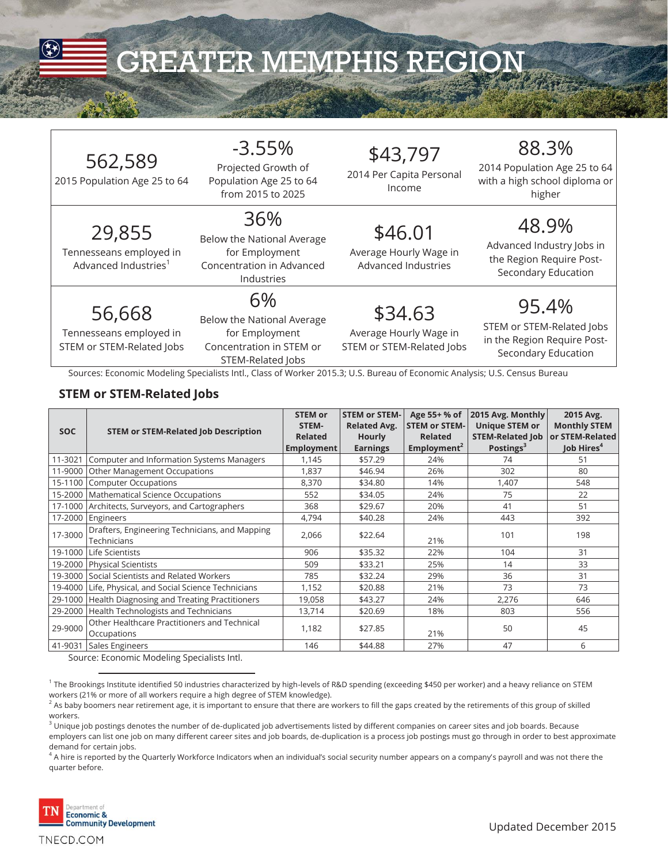

| 562,589<br>2015 Population Age 25 to 64                               | $-3.55%$<br>Projected Growth of<br>Population Age 25 to 64<br>from 2015 to 2025                                                                                                                                                   | \$43,797<br>2014 Per Capita Personal<br>Income                 | 88.3%<br>2014 Population Age 25 to 64<br>with a high school diploma or<br>higher         |
|-----------------------------------------------------------------------|-----------------------------------------------------------------------------------------------------------------------------------------------------------------------------------------------------------------------------------|----------------------------------------------------------------|------------------------------------------------------------------------------------------|
| 29,855<br>Tennesseans employed in<br>Advanced Industries <sup>1</sup> | 36%<br>Below the National Average<br>for Employment<br>Concentration in Advanced<br>Industries                                                                                                                                    | \$46.01<br>Average Hourly Wage in<br>Advanced Industries       | 48.9%<br>Advanced Industry Jobs in<br>the Region Require Post-<br>Secondary Education    |
| 56,668<br>Tennesseans employed in<br>STEM or STEM-Related Jobs        | 6%<br>Below the National Average<br>for Employment<br>Concentration in STEM or<br>STEM-Related Jobs<br>Sources: Economic Modeling Specialists Intl., Class of Worker 2015.3; U.S. Bureau of Economic Analysis; U.S. Census Bureau | \$34.63<br>Average Hourly Wage in<br>STEM or STEM-Related Jobs | 95.4%<br>STEM or STEM-Related Jobs<br>in the Region Require Post-<br>Secondary Education |

#### **STEM or STEM-Related Jobs**

|            |                                                               | <b>STEM or</b><br>STEM- | <b>STEM or STEM-</b><br><b>Related Avg.</b> | Age 55+ % of<br><b>STEM or STEM-</b> | 2015 Avg. Monthly<br><b>Unique STEM or</b> | 2015 Avg.<br><b>Monthly STEM</b> |
|------------|---------------------------------------------------------------|-------------------------|---------------------------------------------|--------------------------------------|--------------------------------------------|----------------------------------|
| <b>SOC</b> | <b>STEM or STEM-Related Job Description</b>                   | <b>Related</b>          | <b>Hourly</b>                               | <b>Related</b>                       | <b>STEM-Related Job</b>                    | or STEM-Related                  |
|            |                                                               | Employment              | <b>Earnings</b>                             | Employment <sup>2</sup>              | Postings <sup>3</sup>                      | Job Hires <sup>4</sup>           |
| 11-3021    | Computer and Information Systems Managers                     | 1,145                   | \$57.29                                     | 24%                                  | 74                                         | 51                               |
| 11-9000    | <b>Other Management Occupations</b>                           | 1,837                   | \$46.94                                     | 26%                                  | 302                                        | 80                               |
| 15-1100    | <b>Computer Occupations</b>                                   | 8,370                   | \$34.80                                     | 14%                                  | 1,407                                      | 548                              |
|            | 15-2000   Mathematical Science Occupations                    | 552                     | \$34.05                                     | 24%                                  | 75                                         | 22                               |
|            | 17-1000 Architects, Surveyors, and Cartographers              | 368                     | \$29.67                                     | 20%                                  | 41                                         | 51                               |
| 17-2000    | Engineers                                                     | 4,794                   | \$40.28                                     | 24%                                  | 443                                        | 392                              |
| 17-3000    | Drafters, Engineering Technicians, and Mapping<br>Technicians | 2,066                   | \$22.64                                     | 21%                                  | 101                                        | 198                              |
| 19-1000    | Life Scientists                                               | 906                     | \$35.32                                     | 22%                                  | 104                                        | 31                               |
| 19-2000    | Physical Scientists                                           | 509                     | \$33.21                                     | 25%                                  | 14                                         | 33                               |
| 19-3000    | Social Scientists and Related Workers                         | 785                     | \$32.24                                     | 29%                                  | 36                                         | 31                               |
| 19-4000    | Life, Physical, and Social Science Technicians                | 1,152                   | \$20.88                                     | 21%                                  | 73                                         | 73                               |
| 29-1000    | Health Diagnosing and Treating Practitioners                  | 19,058                  | \$43.27                                     | 24%                                  | 2,276                                      | 646                              |
| 29-2000    | Health Technologists and Technicians                          | 13,714                  | \$20.69                                     | 18%                                  | 803                                        | 556                              |
| 29-9000    | Other Healthcare Practitioners and Technical<br>Occupations   | 1,182                   | \$27.85                                     | 21%                                  | 50                                         | 45                               |
| 41-9031    | Sales Engineers                                               | 146                     | \$44.88                                     | 27%                                  | 47                                         | 6                                |

Source: Economic Modeling Specialists Intl.

 $^4$  A hire is reported by the Quarterly Workforce Indicators when an individual's social security number appears on a company's payroll and was not there the quarter before.



<sup>&</sup>lt;sup>1</sup> The Brookings Institute identified 50 industries characterized by high-levels of R&D spending (exceeding \$450 per worker) and a heavy reliance on STEM workers (21% or more of all workers require a high degree of STEM knowledge).

 $^2$  As baby boomers near retirement age, it is important to ensure that there are workers to fill the gaps created by the retirements of this group of skilled workers.

 $^3$  Unique job postings denotes the number of de-duplicated job advertisements listed by different companies on career sites and job boards. Because employers can list one job on many different career sites and job boards, de-duplication is a process job postings must go through in order to best approximate demand for certain jobs.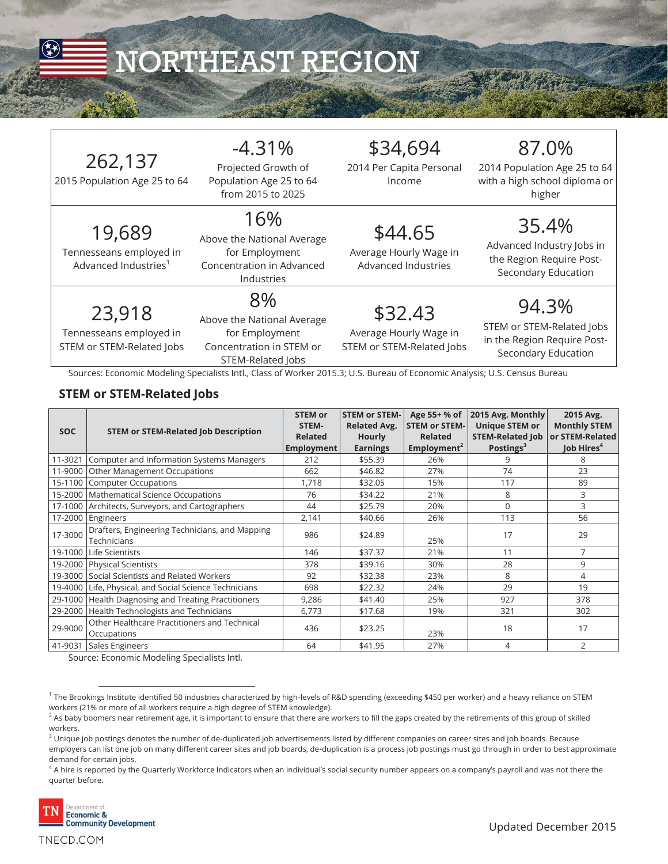

# NORTHEAST REGION

| 262,137<br>2015 Population Age 25 to 64                               | $-4.31%$<br>Projected Growth of<br>Population Age 25 to 64<br>from 2015 to 2025                                                                                                                                                   | \$34,694<br>2014 Per Capita Personal<br>Income                 | 87.0%<br>2014 Population Age 25 to 64<br>with a high school diploma or<br>higher         |
|-----------------------------------------------------------------------|-----------------------------------------------------------------------------------------------------------------------------------------------------------------------------------------------------------------------------------|----------------------------------------------------------------|------------------------------------------------------------------------------------------|
| 19,689<br>Tennesseans employed in<br>Advanced Industries <sup>1</sup> | 16%<br>Above the National Average<br>for Employment<br>Concentration in Advanced<br>Industries                                                                                                                                    | \$44.65<br>Average Hourly Wage in<br>Advanced Industries       | 35.4%<br>Advanced Industry Jobs in<br>the Region Require Post-<br>Secondary Education    |
| 23,918<br>Tennesseans employed in<br>STEM or STEM-Related Jobs        | 8%<br>Above the National Average<br>for Employment<br>Concentration in STEM or<br>STEM-Related Jobs<br>Sources: Economic Modeling Specialists Intl., Class of Worker 2015.3; U.S. Bureau of Economic Analysis; U.S. Census Bureau | \$32.43<br>Average Hourly Wage in<br>STEM or STEM-Related Jobs | 94.3%<br>STEM or STEM-Related Jobs<br>in the Region Require Post-<br>Secondary Education |

#### **STEM or STEM-Related Jobs**

| <b>SOC</b> | <b>STEM or STEM-Related Job Description</b>                   | <b>STEM or</b><br>STEM-<br><b>Related</b><br>Employment | <b>STEM or STEM-</b><br><b>Related Avg.</b><br><b>Hourly</b><br><b>Earnings</b> | Age 55+ % of<br><b>STEM or STEM-</b><br><b>Related</b><br>Employment <sup>2</sup> | 2015 Avg. Monthly<br><b>Unique STEM or</b><br><b>STEM-Related Job</b><br>Postings <sup>3</sup> | 2015 Avg.<br><b>Monthly STEM</b><br>or STEM-Related<br>Job Hires <sup>4</sup> |
|------------|---------------------------------------------------------------|---------------------------------------------------------|---------------------------------------------------------------------------------|-----------------------------------------------------------------------------------|------------------------------------------------------------------------------------------------|-------------------------------------------------------------------------------|
| 11-3021    | Computer and Information Systems Managers                     | 212                                                     | \$55.39                                                                         | 26%                                                                               | 9                                                                                              | 8                                                                             |
| 11-9000    | Other Management Occupations                                  | 662                                                     | \$46.82                                                                         | 27%                                                                               | 74                                                                                             | 23                                                                            |
| 15-1100    | <b>Computer Occupations</b>                                   | 1,718                                                   | \$32.05                                                                         | 15%                                                                               | 117                                                                                            | 89                                                                            |
| 15-2000    | Mathematical Science Occupations                              | 76                                                      | \$34.22                                                                         | 21%                                                                               | 8                                                                                              | 3                                                                             |
| 17-1000    | Architects, Surveyors, and Cartographers                      | 44                                                      | \$25.79                                                                         | 20%                                                                               | $\mathbf 0$                                                                                    | 3                                                                             |
| 17-2000    | Engineers                                                     | 2,141                                                   | \$40.66                                                                         | 26%                                                                               | 113                                                                                            | 56                                                                            |
| 17-3000    | Drafters, Engineering Technicians, and Mapping<br>Technicians | 986                                                     | \$24.89                                                                         | 25%                                                                               | 17                                                                                             | 29                                                                            |
| 19-1000    | Life Scientists                                               | 146                                                     | \$37.37                                                                         | 21%                                                                               | 11                                                                                             | $\overline{7}$                                                                |
| 19-2000    | <b>Physical Scientists</b>                                    | 378                                                     | \$39.16                                                                         | 30%                                                                               | 28                                                                                             | 9                                                                             |
| 19-3000    | Social Scientists and Related Workers                         | 92                                                      | \$32.38                                                                         | 23%                                                                               | 8                                                                                              | 4                                                                             |
| 19-4000    | Life, Physical, and Social Science Technicians                | 698                                                     | \$22.32                                                                         | 24%                                                                               | 29                                                                                             | 19                                                                            |
| 29-1000    | Health Diagnosing and Treating Practitioners                  | 9,286                                                   | \$41.40                                                                         | 25%                                                                               | 927                                                                                            | 378                                                                           |
| 29-2000    | Health Technologists and Technicians                          | 6,773                                                   | \$17.68                                                                         | 19%                                                                               | 321                                                                                            | 302                                                                           |
| 29-9000    | Other Healthcare Practitioners and Technical<br>Occupations   | 436                                                     | \$23.25                                                                         | 23%                                                                               | 18                                                                                             | 17                                                                            |
| 41-9031    | Sales Engineers                                               | 64                                                      | \$41.95                                                                         | 27%                                                                               | 4                                                                                              | 2                                                                             |

Source: Economic Modeling Specialists Intl.

 $^4$  A hire is reported by the Quarterly Workforce Indicators when an individual's social security number appears on a company's payroll and was not there the  $\,$ quarter before.



 $\overline{a}$ 

TNECD.COM

<sup>&</sup>lt;sup>1</sup> The Brookings Institute identified 50 industries characterized by high-levels of R&D spending (exceeding \$450 per worker) and a heavy reliance on STEM workers (21% or more of all workers require a high degree of STEM knowledge).

 $^2$  As baby boomers near retirement age, it is important to ensure that there are workers to fill the gaps created by the retirements of this group of skilled workers.

 $^3$  Unique job postings denotes the number of de-duplicated job advertisements listed by different companies on career sites and job boards. Because employers can list one job on many different career sites and job boards, de-duplication is a process job postings must go through in order to best approximate demand for certain jobs.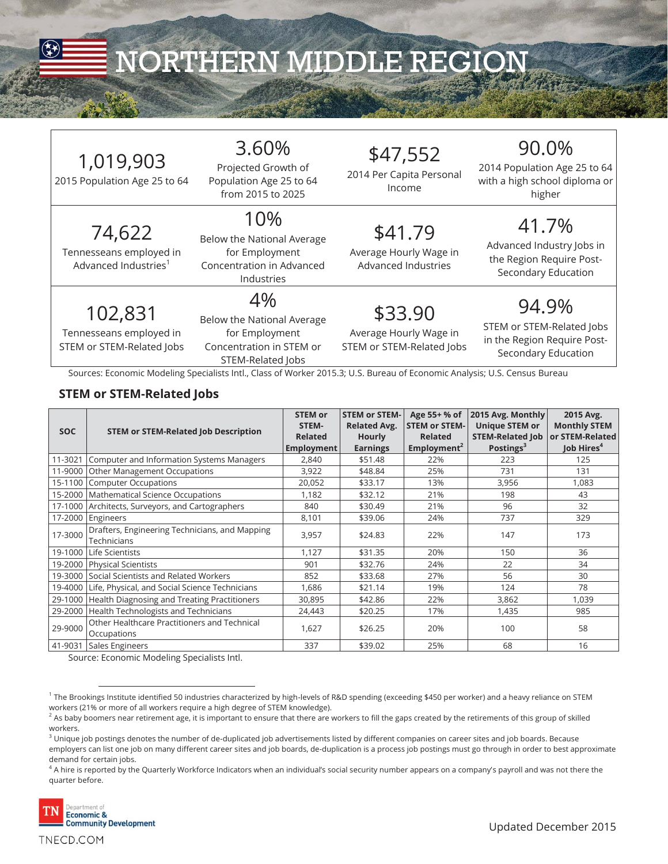

## NORTHERN MIDDLE REGION

2015 Population Age 25 to 64

74,622 Tennesseans employed in Advanced Industries<sup>1</sup>

## 3.60%

Projected Growth of Population Age 25 to 64 from 2015 to 2025

10% Below the National Average for Employment Concentration in Advanced Industries

\$47,552

2014 Per Capita Personal Income

### \$41.79

Average Hourly Wage in Advanced Industries

102,831

Tennesseans employed in STEM or STEM-Related Jobs

#### 4% Below the National Average for Employment Concentration in STEM or

STEM-Related Jobs

\$33.90 Average Hourly Wage in STEM or STEM-Related Jobs

## 90.0%

2014 Population Age 25 to 64 with a high school diploma or higher

### 41.7%

Advanced Industry Jobs in the Region Require Post-Secondary Education

#### 94.9% STEM or STEM-Related Jobs in the Region Require Post-Secondary Education

Sources: Economic Modeling Specialists Intl., Class of Worker 2015.3; U.S. Bureau of Economic Analysis; U.S. Census Bureau

#### **STEM or STEM-Related Jobs**

| <b>SOC</b> | <b>STEM or STEM-Related Job Description</b>                   | <b>STEM or</b><br>STEM-<br><b>Related</b><br>Employment | <b>STEM or STEM-</b><br><b>Related Avg.</b><br><b>Hourly</b><br><b>Earnings</b> | Age 55+ % of<br><b>STEM or STEM-</b><br><b>Related</b><br>Employment <sup>2</sup> | 2015 Avg. Monthly<br><b>Unique STEM or</b><br><b>STEM-Related Job</b><br>Postings <sup>3</sup> | 2015 Avg.<br><b>Monthly STEM</b><br>or STEM-Related<br>Job Hires <sup>4</sup> |
|------------|---------------------------------------------------------------|---------------------------------------------------------|---------------------------------------------------------------------------------|-----------------------------------------------------------------------------------|------------------------------------------------------------------------------------------------|-------------------------------------------------------------------------------|
| 11-3021    | Computer and Information Systems Managers                     | 2,840                                                   | \$51.48                                                                         | 22%                                                                               | 223                                                                                            | 125                                                                           |
| 11-9000    | Other Management Occupations                                  | 3,922                                                   | \$48.84                                                                         | 25%                                                                               | 731                                                                                            | 131                                                                           |
| 15-1100    | <b>Computer Occupations</b>                                   | 20,052                                                  | \$33.17                                                                         | 13%                                                                               | 3,956                                                                                          | 1,083                                                                         |
| 15-2000    | Mathematical Science Occupations                              | 1,182                                                   | \$32.12                                                                         | 21%                                                                               | 198                                                                                            | 43                                                                            |
| 17-1000    | Architects, Surveyors, and Cartographers                      | 840                                                     | \$30.49                                                                         | 21%                                                                               | 96                                                                                             | 32                                                                            |
| 17-2000    | Engineers                                                     | 8,101                                                   | \$39.06                                                                         | 24%                                                                               | 737                                                                                            | 329                                                                           |
| 17-3000    | Drafters, Engineering Technicians, and Mapping<br>Technicians | 3,957                                                   | \$24.83                                                                         | 22%                                                                               | 147                                                                                            | 173                                                                           |
| 19-1000    | Life Scientists                                               | 1.127                                                   | \$31.35                                                                         | 20%                                                                               | 150                                                                                            | 36                                                                            |
| 19-2000    | <b>Physical Scientists</b>                                    | 901                                                     | \$32.76                                                                         | 24%                                                                               | 22                                                                                             | 34                                                                            |
| 19-3000    | Social Scientists and Related Workers                         | 852                                                     | \$33.68                                                                         | 27%                                                                               | 56                                                                                             | 30                                                                            |
| 19-4000    | Life, Physical, and Social Science Technicians                | 1,686                                                   | \$21.14                                                                         | 19%                                                                               | 124                                                                                            | 78                                                                            |
| 29-1000    | Health Diagnosing and Treating Practitioners                  | 30,895                                                  | \$42.86                                                                         | 22%                                                                               | 3,862                                                                                          | 1,039                                                                         |
| 29-2000    | Health Technologists and Technicians                          | 24,443                                                  | \$20.25                                                                         | 17%                                                                               | 1,435                                                                                          | 985                                                                           |
| 29-9000    | Other Healthcare Practitioners and Technical<br>Occupations   | 1,627                                                   | \$26.25                                                                         | 20%                                                                               | 100                                                                                            | 58                                                                            |
| 41-9031    | Sales Engineers                                               | 337                                                     | \$39.02                                                                         | 25%                                                                               | 68                                                                                             | 16                                                                            |

Source: Economic Modeling Specialists Intl.

 $^4$  A hire is reported by the Quarterly Workforce Indicators when an individual's social security number appears on a company's payroll and was not there the  $\,$ quarter before.



 $\overline{a}$  $^{\rm 1}$  The Brookings Institute identified 50 industries characterized by high-levels of R&D spending (exceeding \$450 per worker) and a heavy reliance on STEM workers (21% or more of all workers require a high degree of STEM knowledge).

 $^2$  As baby boomers near retirement age, it is important to ensure that there are workers to fill the gaps created by the retirements of this group of skilled workers.

 $^3$  Unique job postings denotes the number of de-duplicated job advertisements listed by different companies on career sites and job boards. Because employers can list one job on many different career sites and job boards, de-duplication is a process job postings must go through in order to best approximate demand for certain jobs.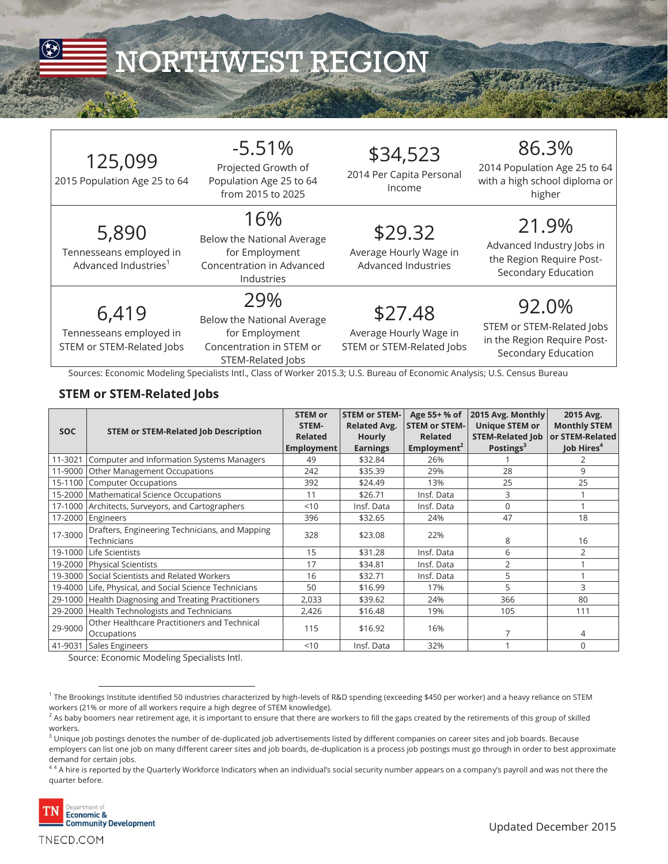

# NORTHWEST REGION

| 125,099<br>2015 Population Age 25 to 64                              | $-5.51%$<br>Projected Growth of<br>Population Age 25 to 64<br>from 2015 to 2025                                                                                                                                                    | \$34,523<br>2014 Per Capita Personal<br>Income                 | 86.3%<br>2014 Population Age 25 to 64<br>with a high school diploma or<br>higher         |
|----------------------------------------------------------------------|------------------------------------------------------------------------------------------------------------------------------------------------------------------------------------------------------------------------------------|----------------------------------------------------------------|------------------------------------------------------------------------------------------|
| 5,890<br>Tennesseans employed in<br>Advanced Industries <sup>1</sup> | 16%<br>Below the National Average<br>for Employment<br>Concentration in Advanced<br>Industries                                                                                                                                     | \$29.32<br>Average Hourly Wage in<br>Advanced Industries       | 21.9%<br>Advanced Industry Jobs in<br>the Region Require Post-<br>Secondary Education    |
| 6,419<br>Tennesseans employed in<br>STEM or STEM-Related Jobs        | 29%<br>Below the National Average<br>for Employment<br>Concentration in STEM or<br>STEM-Related Jobs<br>Sources: Economic Modeling Specialists Intl., Class of Worker 2015.3; U.S. Bureau of Economic Analysis; U.S. Census Bureau | \$27.48<br>Average Hourly Wage in<br>STEM or STEM-Related Jobs | 92.0%<br>STEM or STEM-Related Jobs<br>in the Region Require Post-<br>Secondary Education |

#### **STEM or STEM-Related Jobs**

| <b>SOC</b> | <b>STEM or STEM-Related Job Description</b>                   | <b>STEM or</b><br>STEM-<br><b>Related</b><br>Employment | <b>STEM or STEM-</b><br><b>Related Avg.</b><br><b>Hourly</b><br><b>Earnings</b> | Age 55+ % of<br><b>STEM or STEM-</b><br><b>Related</b><br>Employment <sup>2</sup> | 2015 Avg. Monthly<br><b>Unique STEM or</b><br><b>STEM-Related Job</b><br>Postings <sup>3</sup> | 2015 Avg.<br><b>Monthly STEM</b><br>or STEM-Related<br>Job Hires <sup>4</sup> |
|------------|---------------------------------------------------------------|---------------------------------------------------------|---------------------------------------------------------------------------------|-----------------------------------------------------------------------------------|------------------------------------------------------------------------------------------------|-------------------------------------------------------------------------------|
| 11-3021    | Computer and Information Systems Managers                     | 49                                                      | \$32.84                                                                         | 26%                                                                               |                                                                                                | 2                                                                             |
| 11-9000    | Other Management Occupations                                  | 242                                                     | \$35.39                                                                         | 29%                                                                               | 28                                                                                             | 9                                                                             |
| 15-1100    | <b>Computer Occupations</b>                                   | 392                                                     | \$24.49                                                                         | 13%                                                                               | 25                                                                                             | 25                                                                            |
| 15-2000    | <b>Mathematical Science Occupations</b>                       | 11                                                      | \$26.71                                                                         | Insf. Data                                                                        | 3                                                                                              |                                                                               |
| 17-1000    | Architects, Surveyors, and Cartographers                      | < 10                                                    | Insf. Data                                                                      | Insf. Data                                                                        | 0                                                                                              |                                                                               |
| 17-2000    | Engineers                                                     | 396                                                     | \$32.65                                                                         | 24%                                                                               | 47                                                                                             | 18                                                                            |
| 17-3000    | Drafters, Engineering Technicians, and Mapping<br>Technicians | 328                                                     | \$23.08                                                                         | 22%                                                                               | 8                                                                                              | 16                                                                            |
| 19-1000    | Life Scientists                                               | 15                                                      | \$31.28                                                                         | Insf. Data                                                                        | 6                                                                                              | 2                                                                             |
|            | 19-2000 Physical Scientists                                   | 17                                                      | \$34.81                                                                         | Insf. Data                                                                        | 2                                                                                              |                                                                               |
| 19-3000    | Social Scientists and Related Workers                         | 16                                                      | \$32.71                                                                         | Insf. Data                                                                        | 5                                                                                              |                                                                               |
| 19-4000    | Life, Physical, and Social Science Technicians                | 50                                                      | \$16.99                                                                         | 17%                                                                               | 5                                                                                              | 3                                                                             |
| 29-1000    | Health Diagnosing and Treating Practitioners                  | 2,033                                                   | \$39.62                                                                         | 24%                                                                               | 366                                                                                            | 80                                                                            |
| 29-2000    | Health Technologists and Technicians                          | 2,426                                                   | \$16.48                                                                         | 19%                                                                               | 105                                                                                            | 111                                                                           |
| 29-9000    | Other Healthcare Practitioners and Technical<br>Occupations   | 115                                                     | \$16.92                                                                         | 16%                                                                               | 7                                                                                              | 4                                                                             |
| 41-9031    | Sales Engineers                                               | < 10                                                    | Insf. Data                                                                      | 32%                                                                               |                                                                                                | $\Omega$                                                                      |

Source: Economic Modeling Specialists Intl.

 $^{4\,4}$  A hire is reported by the Quarterly Workforce Indicators when an individual's social security number appears on a company's payroll and was not there the quarter before.



 $\overline{a}$ 

TNECD.COM

 $^{\rm 1}$  The Brookings Institute identified 50 industries characterized by high-levels of R&D spending (exceeding \$450 per worker) and a heavy reliance on STEM workers (21% or more of all workers require a high degree of STEM knowledge).

 $^2$  As baby boomers near retirement age, it is important to ensure that there are workers to fill the gaps created by the retirements of this group of skilled workers.

 $^3$  Unique job postings denotes the number of de-duplicated job advertisements listed by different companies on career sites and job boards. Because employers can list one job on many different career sites and job boards, de-duplication is a process job postings must go through in order to best approximate demand for certain jobs.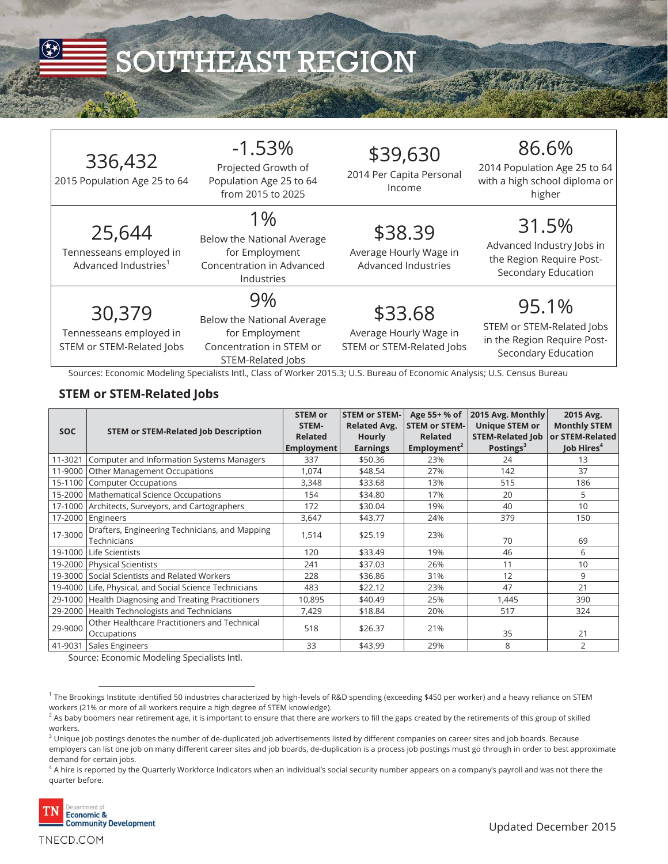

# SOUTHEAST REGION

| 336,432<br>2015 Population Age 25 to 64                               | $-1.53%$<br>Projected Growth of<br>Population Age 25 to 64<br>from 2015 to 2025                                                                                                                                                   | \$39,630<br>2014 Per Capita Personal<br>Income                 | 86.6%<br>2014 Population Age 25 to 64<br>with a high school diploma or<br>higher         |
|-----------------------------------------------------------------------|-----------------------------------------------------------------------------------------------------------------------------------------------------------------------------------------------------------------------------------|----------------------------------------------------------------|------------------------------------------------------------------------------------------|
| 25,644<br>Tennesseans employed in<br>Advanced Industries <sup>1</sup> | 1%<br>Below the National Average<br>for Employment<br>Concentration in Advanced<br>Industries                                                                                                                                     | \$38.39<br>Average Hourly Wage in<br>Advanced Industries       | 31.5%<br>Advanced Industry Jobs in<br>the Region Require Post-<br>Secondary Education    |
| 30,379<br>Tennesseans employed in<br>STEM or STEM-Related Jobs        | 9%<br>Below the National Average<br>for Employment<br>Concentration in STEM or<br>STEM-Related Jobs<br>Sources: Economic Modeling Specialists Intl., Class of Worker 2015.3; U.S. Bureau of Economic Analysis; U.S. Census Bureau | \$33.68<br>Average Hourly Wage in<br>STEM or STEM-Related Jobs | 95.1%<br>STEM or STEM-Related Jobs<br>in the Region Require Post-<br>Secondary Education |

#### **STEM or STEM-Related Jobs**

|            |                                                               | <b>STEM or</b><br>STEM- | <b>STEM or STEM-</b><br><b>Related Avg.</b> | Age 55+ % of<br><b>STEM or STEM-</b> | 2015 Avg. Monthly<br><b>Unique STEM or</b> | 2015 Avg.<br><b>Monthly STEM</b> |
|------------|---------------------------------------------------------------|-------------------------|---------------------------------------------|--------------------------------------|--------------------------------------------|----------------------------------|
| <b>SOC</b> | <b>STEM or STEM-Related Job Description</b>                   | <b>Related</b>          | <b>Hourly</b>                               | <b>Related</b>                       | <b>STEM-Related Job</b>                    | or STEM-Related                  |
|            |                                                               | <b>Employment</b>       | <b>Earnings</b>                             | Employment <sup>2</sup>              | Postings <sup>3</sup>                      | Job Hires <sup>4</sup>           |
| 11-3021    | Computer and Information Systems Managers                     | 337                     | \$50.36                                     | 23%                                  | 24                                         | 13                               |
| 11-9000    | Other Management Occupations                                  | 1,074                   | \$48.54                                     | 27%                                  | 142                                        | 37                               |
| 15-1100    | <b>Computer Occupations</b>                                   | 3,348                   | \$33.68                                     | 13%                                  | 515                                        | 186                              |
| 15-2000    | Mathematical Science Occupations                              | 154                     | \$34.80                                     | 17%                                  | 20                                         | 5                                |
| 17-1000    | Architects, Surveyors, and Cartographers                      | 172                     | \$30.04                                     | 19%                                  | 40                                         | 10                               |
| 17-2000    | Engineers                                                     | 3,647                   | \$43.77                                     | 24%                                  | 379                                        | 150                              |
| 17-3000    | Drafters, Engineering Technicians, and Mapping<br>Technicians | 1,514                   | \$25.19                                     | 23%                                  | 70                                         | 69                               |
| 19-1000    | Life Scientists                                               | 120                     | \$33.49                                     | 19%                                  | 46                                         | 6                                |
| 19-2000    | <b>Physical Scientists</b>                                    | 241                     | \$37.03                                     | 26%                                  | 11                                         | 10                               |
| 19-3000    | Social Scientists and Related Workers                         | 228                     | \$36.86                                     | 31%                                  | 12                                         | 9                                |
| 19-4000    | Life, Physical, and Social Science Technicians                | 483                     | \$22.12                                     | 23%                                  | 47                                         | 21                               |
| 29-1000    | Health Diagnosing and Treating Practitioners                  | 10,895                  | \$40.49                                     | 25%                                  | 1,445                                      | 390                              |
| 29-2000    | Health Technologists and Technicians                          | 7,429                   | \$18.84                                     | 20%                                  | 517                                        | 324                              |
| 29-9000    | Other Healthcare Practitioners and Technical<br>Occupations   | 518                     | \$26.37                                     | 21%                                  | 35                                         | 21                               |
| 41-9031    | Sales Engineers                                               | 33                      | \$43.99                                     | 29%                                  | 8                                          | 2                                |

Source: Economic Modeling Specialists Intl.

 $^4$  A hire is reported by the Quarterly Workforce Indicators when an individual's social security number appears on a company's payroll and was not there the  $\,$ quarter before.



 $^{\rm 1}$  The Brookings Institute identified 50 industries characterized by high-levels of R&D spending (exceeding \$450 per worker) and a heavy reliance on STEM workers (21% or more of all workers require a high degree of STEM knowledge).

 $^2$  As baby boomers near retirement age, it is important to ensure that there are workers to fill the gaps created by the retirements of this group of skilled workers.

 $^3$  Unique job postings denotes the number of de-duplicated job advertisements listed by different companies on career sites and job boards. Because employers can list one job on many different career sites and job boards, de-duplication is a process job postings must go through in order to best approximate demand for certain jobs.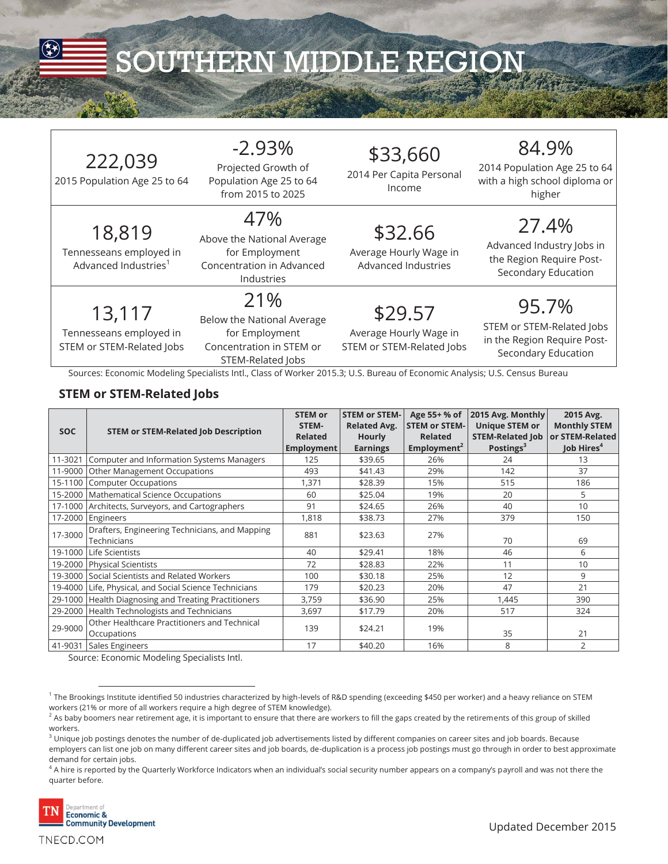

# SOUTHERN MIDDLE REGION

| 222,039 |
|---------|
|         |

2015 Population Age 25 to 64

18,819 Tennesseans employed in Advanced Industries<sup>1</sup>

#### -2.93% Projected Growth of

Population Age 25 to 64 from 2015 to 2025

### 47%

Above the National Average for Employment Concentration in Advanced

13,117

Tennesseans employed in STEM or STEM-Related Jobs

# Industries

21% Below the National Average for Employment Concentration in STEM or STEM-Related Jobs

\$29.57 Average Hourly Wage in STEM or STEM-Related Jobs

\$33,660 2014 Per Capita Personal Income

\$32.66 Average Hourly Wage in Advanced Industries

## 84.9%

2014 Population Age 25 to 64 with a high school diploma or higher

## 27.4%

Advanced Industry Jobs in the Region Require Post-Secondary Education

95.7% STEM or STEM-Related Jobs in the Region Require Post-Secondary Education

Sources: Economic Modeling Specialists Intl., Class of Worker 2015.3; U.S. Bureau of Economic Analysis; U.S. Census Bureau

#### **STEM or STEM-Related Jobs**

| <b>SOC</b> | <b>STEM or STEM-Related Job Description</b>                   | <b>STEM or</b><br>STEM-<br><b>Related</b><br>Employment | <b>STEM or STEM-</b><br><b>Related Avg.</b><br><b>Hourly</b><br><b>Earnings</b> | Age 55+ % of<br><b>STEM or STEM-</b><br><b>Related</b><br>Employment <sup>2</sup> | 2015 Avg. Monthly<br><b>Unique STEM or</b><br><b>STEM-Related Job</b><br>Postings <sup>3</sup> | 2015 Avg.<br><b>Monthly STEM</b><br>or STEM-Related<br>Job Hires <sup>4</sup> |
|------------|---------------------------------------------------------------|---------------------------------------------------------|---------------------------------------------------------------------------------|-----------------------------------------------------------------------------------|------------------------------------------------------------------------------------------------|-------------------------------------------------------------------------------|
| 11-3021    | Computer and Information Systems Managers                     | 125                                                     | \$39.65                                                                         | 26%                                                                               | 24                                                                                             | 13                                                                            |
| 11-9000    | Other Management Occupations                                  | 493                                                     | \$41.43                                                                         | 29%                                                                               | 142                                                                                            | 37                                                                            |
| 15-1100    | <b>Computer Occupations</b>                                   | 1,371                                                   | \$28.39                                                                         | 15%                                                                               | 515                                                                                            | 186                                                                           |
| 15-2000    | Mathematical Science Occupations                              | 60                                                      | \$25.04                                                                         | 19%                                                                               | 20                                                                                             | 5                                                                             |
| 17-1000    | Architects, Surveyors, and Cartographers                      | 91                                                      | \$24.65                                                                         | 26%                                                                               | 40                                                                                             | 10                                                                            |
| 17-2000    | Engineers                                                     | 1,818                                                   | \$38.73                                                                         | 27%                                                                               | 379                                                                                            | 150                                                                           |
| 17-3000    | Drafters, Engineering Technicians, and Mapping<br>Technicians | 881                                                     | \$23.63                                                                         | 27%                                                                               | 70                                                                                             | 69                                                                            |
| 19-1000    | Life Scientists                                               | 40                                                      | \$29.41                                                                         | 18%                                                                               | 46                                                                                             | 6                                                                             |
| 19-2000    | <b>Physical Scientists</b>                                    | 72                                                      | \$28.83                                                                         | 22%                                                                               | 11                                                                                             | 10                                                                            |
| 19-3000    | Social Scientists and Related Workers                         | 100                                                     | \$30.18                                                                         | 25%                                                                               | 12                                                                                             | 9                                                                             |
| 19-4000    | Life, Physical, and Social Science Technicians                | 179                                                     | \$20.23                                                                         | 20%                                                                               | 47                                                                                             | 21                                                                            |
| 29-1000    | Health Diagnosing and Treating Practitioners                  | 3,759                                                   | \$36.90                                                                         | 25%                                                                               | 1,445                                                                                          | 390                                                                           |
| 29-2000    | Health Technologists and Technicians                          | 3,697                                                   | \$17.79                                                                         | 20%                                                                               | 517                                                                                            | 324                                                                           |
| 29-9000    | Other Healthcare Practitioners and Technical<br>Occupations   | 139                                                     | \$24.21                                                                         | 19%                                                                               | 35                                                                                             | 21                                                                            |
| 41-9031    | Sales Engineers                                               | 17                                                      | \$40.20                                                                         | 16%                                                                               | 8                                                                                              | $\overline{2}$                                                                |

Source: Economic Modeling Specialists Intl.

 $^4$  A hire is reported by the Quarterly Workforce Indicators when an individual's social security number appears on a company's payroll and was not there the  $\,$ quarter before.



 $^{\rm 1}$  The Brookings Institute identified 50 industries characterized by high-levels of R&D spending (exceeding \$450 per worker) and a heavy reliance on STEM workers (21% or more of all workers require a high degree of STEM knowledge).

 $^2$  As baby boomers near retirement age, it is important to ensure that there are workers to fill the gaps created by the retirements of this group of skilled workers.

 $^3$  Unique job postings denotes the number of de-duplicated job advertisements listed by different companies on career sites and job boards. Because employers can list one job on many different career sites and job boards, de-duplication is a process job postings must go through in order to best approximate demand for certain jobs.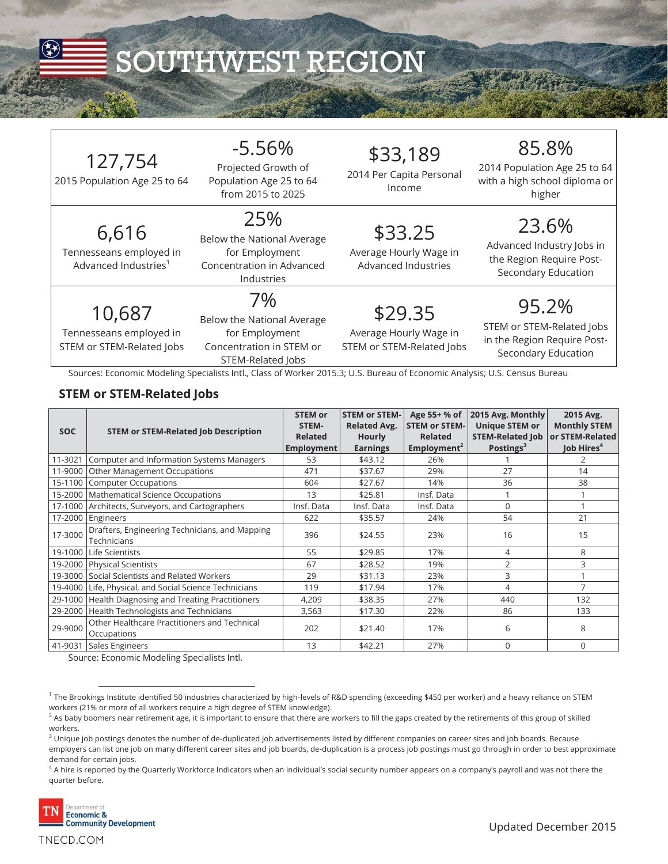

| 127,754<br>2015 Population Age 25 to 64                              | $-5.56%$<br>Projected Growth of<br>Population Age 25 to 64<br>from 2015 to 2025                                                                                                                                                   | \$33,189<br>2014 Per Capita Personal<br>Income                 | 85.8%<br>2014 Population Age 25 to 64<br>with a high school diploma or<br>higher         |
|----------------------------------------------------------------------|-----------------------------------------------------------------------------------------------------------------------------------------------------------------------------------------------------------------------------------|----------------------------------------------------------------|------------------------------------------------------------------------------------------|
| 6,616<br>Tennesseans employed in<br>Advanced Industries <sup>1</sup> | 25%<br>Below the National Average<br>for Employment<br>Concentration in Advanced<br>Industries                                                                                                                                    | \$33.25<br>Average Hourly Wage in<br>Advanced Industries       | 23.6%<br>Advanced Industry Jobs in<br>the Region Require Post-<br>Secondary Education    |
| 10,687<br>Tennesseans employed in<br>STEM or STEM-Related Jobs       | 7%<br>Below the National Average<br>for Employment<br>Concentration in STEM or<br>STEM-Related Jobs<br>Sources: Economic Modeling Specialists Intl., Class of Worker 2015.3; U.S. Bureau of Economic Analysis; U.S. Census Bureau | \$29.35<br>Average Hourly Wage in<br>STEM or STEM-Related Jobs | 95.2%<br>STEM or STEM-Related Jobs<br>in the Region Require Post-<br>Secondary Education |

#### **STEM or STEM-Related Jobs**

| <b>SOC</b> | <b>STEM or STEM-Related Job Description</b>                   | <b>STEM or</b><br>STEM-<br><b>Related</b><br>Employment | <b>STEM or STEM-</b><br><b>Related Avg.</b><br><b>Hourly</b><br><b>Earnings</b> | Age 55+ % of<br><b>STEM or STEM-</b><br><b>Related</b><br>Employment <sup>2</sup> | 2015 Avg. Monthly<br><b>Unique STEM or</b><br><b>STEM-Related Job</b><br>Postings <sup>3</sup> | 2015 Avg.<br><b>Monthly STEM</b><br>or STEM-Related<br>Job Hires <sup>4</sup> |
|------------|---------------------------------------------------------------|---------------------------------------------------------|---------------------------------------------------------------------------------|-----------------------------------------------------------------------------------|------------------------------------------------------------------------------------------------|-------------------------------------------------------------------------------|
| 11-3021    | Computer and Information Systems Managers                     | 53                                                      | \$43.12                                                                         | 26%                                                                               |                                                                                                | 2                                                                             |
| 11-9000    | Other Management Occupations                                  | 471                                                     | \$37.67                                                                         | 29%                                                                               | 27                                                                                             | 14                                                                            |
| 15-1100    | <b>Computer Occupations</b>                                   | 604                                                     | \$27.67                                                                         | 14%                                                                               | 36                                                                                             | 38                                                                            |
|            | 15-2000   Mathematical Science Occupations                    | 13                                                      | \$25.81                                                                         | Insf. Data                                                                        |                                                                                                |                                                                               |
|            | 17-1000 Architects, Surveyors, and Cartographers              | Insf. Data                                              | Insf. Data                                                                      | Insf. Data                                                                        | 0                                                                                              |                                                                               |
| 17-2000    | Engineers                                                     | 622                                                     | \$35.57                                                                         | 24%                                                                               | 54                                                                                             | 21                                                                            |
| 17-3000    | Drafters, Engineering Technicians, and Mapping<br>Technicians | 396                                                     | \$24.55                                                                         | 23%                                                                               | 16                                                                                             | 15                                                                            |
|            | 19-1000 Life Scientists                                       | 55                                                      | \$29.85                                                                         | 17%                                                                               | $\overline{4}$                                                                                 | 8                                                                             |
|            | 19-2000 Physical Scientists                                   | 67                                                      | \$28.52                                                                         | 19%                                                                               | $\overline{2}$                                                                                 | 3                                                                             |
| 19-3000    | Social Scientists and Related Workers                         | 29                                                      | \$31.13                                                                         | 23%                                                                               | 3                                                                                              |                                                                               |
|            | 19-4000 Life, Physical, and Social Science Technicians        | 119                                                     | \$17.94                                                                         | 17%                                                                               | 4                                                                                              | 7                                                                             |
| 29-1000    | Health Diagnosing and Treating Practitioners                  | 4,209                                                   | \$38.35                                                                         | 27%                                                                               | 440                                                                                            | 132                                                                           |
|            | 29-2000   Health Technologists and Technicians                | 3,563                                                   | \$17.30                                                                         | 22%                                                                               | 86                                                                                             | 133                                                                           |
| 29-9000    | Other Healthcare Practitioners and Technical<br>Occupations   | 202                                                     | \$21.40                                                                         | 17%                                                                               | 6                                                                                              | 8                                                                             |
| 41-9031    | Sales Engineers                                               | 13                                                      | \$42.21                                                                         | 27%                                                                               | $\Omega$                                                                                       | $\Omega$                                                                      |

Source: Economic Modeling Specialists Intl.

 $^4$  A hire is reported by the Quarterly Workforce Indicators when an individual's social security number appears on a company's payroll and was not there the  $\,$ quarter before.



 $^{\rm 1}$  The Brookings Institute identified 50 industries characterized by high-levels of R&D spending (exceeding \$450 per worker) and a heavy reliance on STEM workers (21% or more of all workers require a high degree of STEM knowledge).

 $^2$  As baby boomers near retirement age, it is important to ensure that there are workers to fill the gaps created by the retirements of this group of skilled workers.

 $^3$  Unique job postings denotes the number of de-duplicated job advertisements listed by different companies on career sites and job boards. Because employers can list one job on many different career sites and job boards, de-duplication is a process job postings must go through in order to best approximate demand for certain jobs.